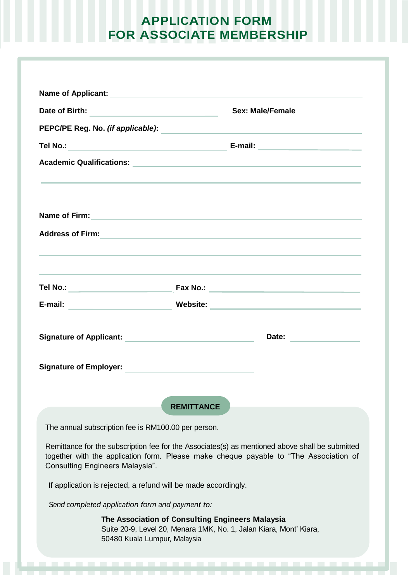## **APPLICATION FORM FOR ASSOCIATE MEMBERSHIP**

| Name of Applicant: <u>contract and a series of Applicant</u>                                             |                                                                                                                                                                                                                               |
|----------------------------------------------------------------------------------------------------------|-------------------------------------------------------------------------------------------------------------------------------------------------------------------------------------------------------------------------------|
| Date of Birth:<br>the control of the control of the control of the control of                            | <b>Sex: Male/Female</b>                                                                                                                                                                                                       |
| PEPC/PE Reg. No. (if applicable):<br><u> 1989 - Johann Stein, mars an deus Amerikaansk kommunister (</u> |                                                                                                                                                                                                                               |
| Tel No.:<br><u> 1980 - Johann Barbara, martxa alemaniar a</u>                                            |                                                                                                                                                                                                                               |
|                                                                                                          |                                                                                                                                                                                                                               |
|                                                                                                          |                                                                                                                                                                                                                               |
|                                                                                                          | Name of Firm: <u>Alexander Communication</u> Control of Control Control Control Control Control Control Control Control                                                                                                       |
|                                                                                                          |                                                                                                                                                                                                                               |
| Tel No.: ___________________________                                                                     |                                                                                                                                                                                                                               |
| E-mail: ________________________________                                                                 | Website: with the contract of the contract of the contract of the contract of the contract of the contract of the contract of the contract of the contract of the contract of the contract of the contract of the contract of |
|                                                                                                          | Date:                                                                                                                                                                                                                         |
| <b>Signature of Employer:</b>                                                                            |                                                                                                                                                                                                                               |
|                                                                                                          | <b>REMITTANCE</b>                                                                                                                                                                                                             |
| The annual subscription fee is RM100.00 per person.                                                      |                                                                                                                                                                                                                               |
| <b>Consulting Engineers Malaysia".</b>                                                                   | Remittance for the subscription fee for the Associates(s) as mentioned above shall be submitted<br>together with the application form. Please make cheque payable to "The Association of                                      |
| If application is rejected, a refund will be made accordingly.                                           |                                                                                                                                                                                                                               |
| Send completed application form and payment to:                                                          |                                                                                                                                                                                                                               |
| 50480 Kuala Lumpur, Malaysia                                                                             | The Association of Consulting Engineers Malaysia<br>Suite 20-9, Level 20, Menara 1MK, No. 1, Jalan Kiara, Mont' Kiara,                                                                                                        |
|                                                                                                          |                                                                                                                                                                                                                               |